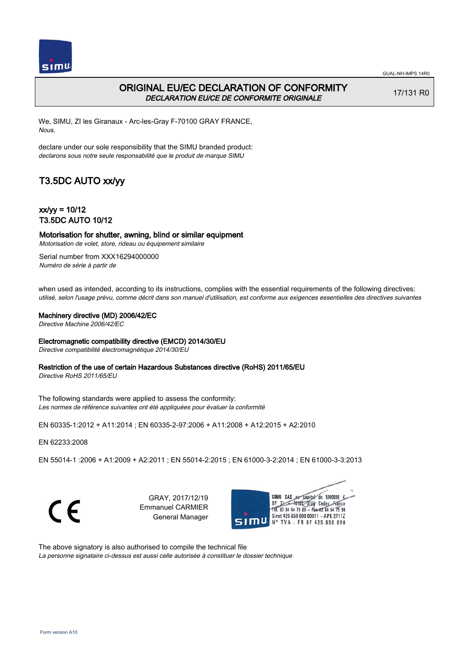

## ORIGINAL EU/EC DECLARATION OF CONFORMITY DECLARATION EU/CE DE CONFORMITE ORIGINALE

17/131 R0

We, SIMU, ZI les Giranaux - Arc-les-Gray F-70100 GRAY FRANCE, Nous,

declare under our sole responsibility that the SIMU branded product: declarons sous notre seule responsabilité que le produit de marque SIMU

# T3.5DC AUTO xx/yy

 $xx/yy = 10/12$ T3.5DC AUTO 10/12

## Motorisation for shutter, awning, blind or similar equipment

Motorisation de volet, store, rideau ou équipement similaire

Serial number from XXX16294000000 Numéro de série à partir de

when used as intended, according to its instructions, complies with the essential requirements of the following directives: utilisé, selon l'usage prévu, comme décrit dans son manuel d'utilisation, est conforme aux exigences essentielles des directives suivantes

#### Machinery directive (MD) 2006/42/EC

Directive Machine 2006/42/EC

#### Electromagnetic compatibility directive (EMCD) 2014/30/EU

Directive compatibilité électromagnétique 2014/30/EU

#### Restriction of the use of certain Hazardous Substances directive (RoHS) 2011/65/EU

Directive RoHS 2011/65/EU

The following standards were applied to assess the conformity: Les normes de référence suivantes ont été appliquées pour évaluer la conformité

EN 60335‑1:2012 + A11:2014 ; EN 60335‑2‑97:2006 + A11:2008 + A12:2015 + A2:2010

EN 62233:2008

EN 55014‑1 :2006 + A1:2009 + A2:2011 ; EN 55014‑2:2015 ; EN 61000‑3‑2:2014 ; EN 61000‑3‑3:2013

C E

GRAY, 2017/12/19 Emmanuel CARMIER General Manager



The above signatory is also authorised to compile the technical file La personne signataire ci-dessus est aussi celle autorisée à constituer le dossier technique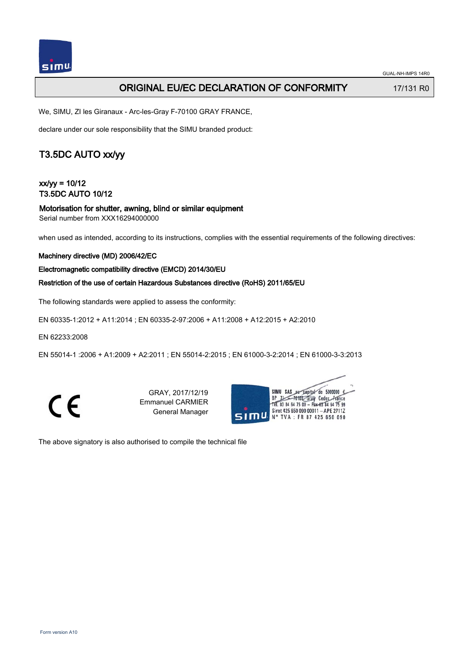

### ORIGINAL EU/EC DECLARATION OF CONFORMITY 17/131 R0

We, SIMU, ZI les Giranaux - Arc-les-Gray F-70100 GRAY FRANCE,

declare under our sole responsibility that the SIMU branded product:

## T3.5DC AUTO xx/yy

### $xx/yy = 10/12$ T3.5DC AUTO 10/12

### Motorisation for shutter, awning, blind or similar equipment

Serial number from XXX16294000000

when used as intended, according to its instructions, complies with the essential requirements of the following directives:

#### Machinery directive (MD) 2006/42/EC

#### Electromagnetic compatibility directive (EMCD) 2014/30/EU

#### Restriction of the use of certain Hazardous Substances directive (RoHS) 2011/65/EU

The following standards were applied to assess the conformity:

EN 60335‑1:2012 + A11:2014 ; EN 60335‑2‑97:2006 + A11:2008 + A12:2015 + A2:2010

EN 62233:2008

EN 55014‑1 :2006 + A1:2009 + A2:2011 ; EN 55014‑2:2015 ; EN 61000‑3‑2:2014 ; EN 61000‑3‑3:2013



GRAY, 2017/12/19 Emmanuel CARMIER General Manager



The above signatory is also authorised to compile the technical file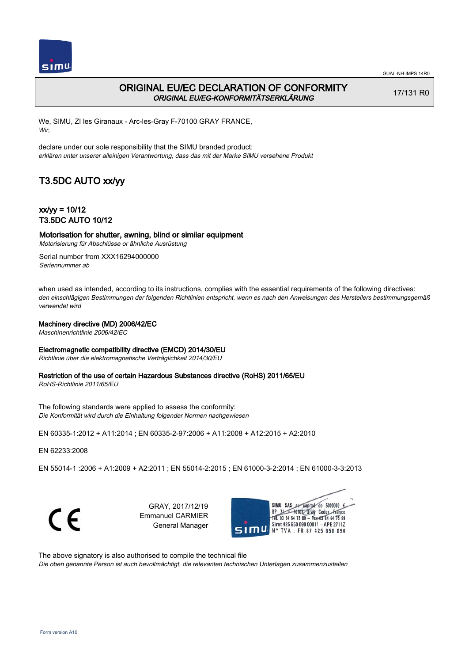

17/131 R0

## ORIGINAL EU/EC DECLARATION OF CONFORMITY ORIGINAL EU/EG-KONFORMITÄTSERKLÄRUNG

We, SIMU, ZI les Giranaux - Arc-les-Gray F-70100 GRAY FRANCE, Wir,

declare under our sole responsibility that the SIMU branded product: erklären unter unserer alleinigen Verantwortung, dass das mit der Marke SIMU versehene Produkt

## T3.5DC AUTO xx/yy

 $xx/yy = 10/12$ T3.5DC AUTO 10/12

### Motorisation for shutter, awning, blind or similar equipment

Motorisierung für Abschlüsse or ähnliche Ausrüstung

Serial number from XXX16294000000 Seriennummer ab

when used as intended, according to its instructions, complies with the essential requirements of the following directives: den einschlägigen Bestimmungen der folgenden Richtlinien entspricht, wenn es nach den Anweisungen des Herstellers bestimmungsgemäß verwendet wird

#### Machinery directive (MD) 2006/42/EC

Maschinenrichtlinie 2006/42/EC

#### Electromagnetic compatibility directive (EMCD) 2014/30/EU

Richtlinie über die elektromagnetische Verträglichkeit 2014/30/EU

### Restriction of the use of certain Hazardous Substances directive (RoHS) 2011/65/EU

RoHS-Richtlinie 2011/65/EU

The following standards were applied to assess the conformity: Die Konformität wird durch die Einhaltung folgender Normen nachgewiesen

EN 60335‑1:2012 + A11:2014 ; EN 60335‑2‑97:2006 + A11:2008 + A12:2015 + A2:2010

EN 62233:2008

EN 55014‑1 :2006 + A1:2009 + A2:2011 ; EN 55014‑2:2015 ; EN 61000‑3‑2:2014 ; EN 61000‑3‑3:2013

C E

GRAY, 2017/12/19 Emmanuel CARMIER General Manager



The above signatory is also authorised to compile the technical file Die oben genannte Person ist auch bevollmächtigt, die relevanten technischen Unterlagen zusammenzustellen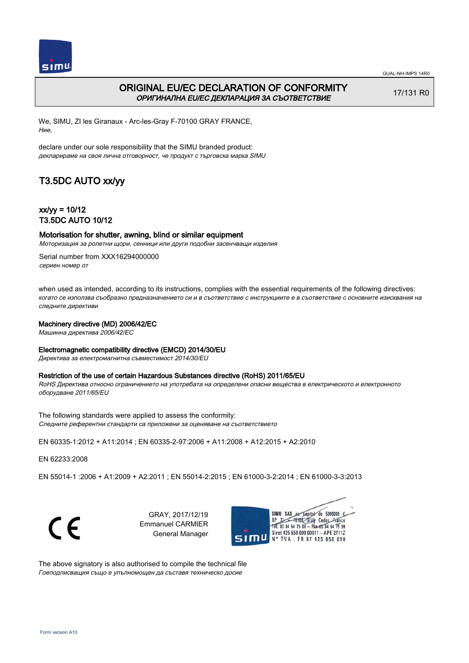

### ORIGINAL EU/EC DECLARATION OF CONFORMITY ОРИГИНАЛНА EU/EC ДЕКЛАРАЦИЯ ЗА СЪОТВЕТСТВИЕ

17/131 R0

We, SIMU, ZI les Giranaux - Arc-les-Gray F-70100 GRAY FRANCE, Ние,

declare under our sole responsibility that the SIMU branded product: декларираме на своя лична отговорност, че продукт с търговска марка SIMU

## T3.5DC AUTO xx/yy

 $xx/w = 10/12$ T3.5DC AUTO 10/12

### Motorisation for shutter, awning, blind or similar equipment

Моторизация за ролетни щори, сенници или други подобни засенчващи изделия

Serial number from XXX16294000000 сериен номер от

when used as intended, according to its instructions, complies with the essential requirements of the following directives: когато се използва съобразно предназначението си и в съответствие с инструкциите е в съответствие с основните изисквания на следните директиви

#### Machinery directive (MD) 2006/42/EC

Машинна директива 2006/42/EC

#### Electromagnetic compatibility directive (EMCD) 2014/30/EU

Директива за електромагнитна съвместимост 2014/30/EU

#### Restriction of the use of certain Hazardous Substances directive (RoHS) 2011/65/EU

RoHS Директива относно ограничението на употребата на определени опасни вещества в електрическото и електронното оборудване 2011/65/EU

The following standards were applied to assess the conformity: Следните референтни стандарти са приложени за оценяване на съответствието

EN 60335‑1:2012 + A11:2014 ; EN 60335‑2‑97:2006 + A11:2008 + A12:2015 + A2:2010

EN 62233:2008

EN 55014‑1 :2006 + A1:2009 + A2:2011 ; EN 55014‑2:2015 ; EN 61000‑3‑2:2014 ; EN 61000‑3‑3:2013



GRAY, 2017/12/19 Emmanuel CARMIER General Manager



The above signatory is also authorised to compile the technical file Гоеподписващия също е упълномощен да съставя техническо досие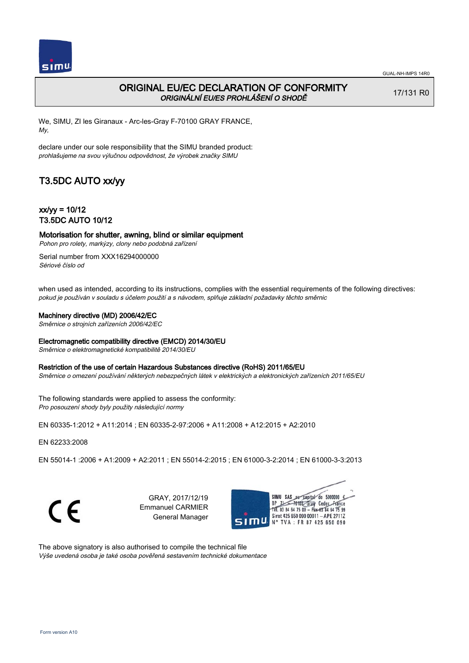

17/131 R0

## ORIGINAL EU/EC DECLARATION OF CONFORMITY ORIGINÁLNÍ EU/ES PROHLÁŠENÍ O SHODĚ

We, SIMU, ZI les Giranaux - Arc-les-Gray F-70100 GRAY FRANCE, My,

declare under our sole responsibility that the SIMU branded product: prohlašujeme na svou výlučnou odpovědnost, že výrobek značky SIMU

## T3.5DC AUTO xx/yy

 $xx/yy = 10/12$ T3.5DC AUTO 10/12

### Motorisation for shutter, awning, blind or similar equipment

Pohon pro rolety, markýzy, clony nebo podobná zařízení

Serial number from XXX16294000000 Sériové číslo od

when used as intended, according to its instructions, complies with the essential requirements of the following directives: pokud je používán v souladu s účelem použití a s návodem, splňuje základní požadavky těchto směrnic

#### Machinery directive (MD) 2006/42/EC

Směrnice o strojních zařízeních 2006/42/EC

#### Electromagnetic compatibility directive (EMCD) 2014/30/EU

Směrnice o elektromagnetické kompatibilitě 2014/30/EU

#### Restriction of the use of certain Hazardous Substances directive (RoHS) 2011/65/EU

Směrnice o omezení používání některých nebezpečných látek v elektrických a elektronických zařízeních 2011/65/EU

The following standards were applied to assess the conformity: Pro posouzení shody byly použity následující normy

EN 60335‑1:2012 + A11:2014 ; EN 60335‑2‑97:2006 + A11:2008 + A12:2015 + A2:2010

EN 62233:2008

EN 55014‑1 :2006 + A1:2009 + A2:2011 ; EN 55014‑2:2015 ; EN 61000‑3‑2:2014 ; EN 61000‑3‑3:2013

C E

GRAY, 2017/12/19 Emmanuel CARMIER General Manager



The above signatory is also authorised to compile the technical file Výše uvedená osoba je také osoba pověřená sestavením technické dokumentace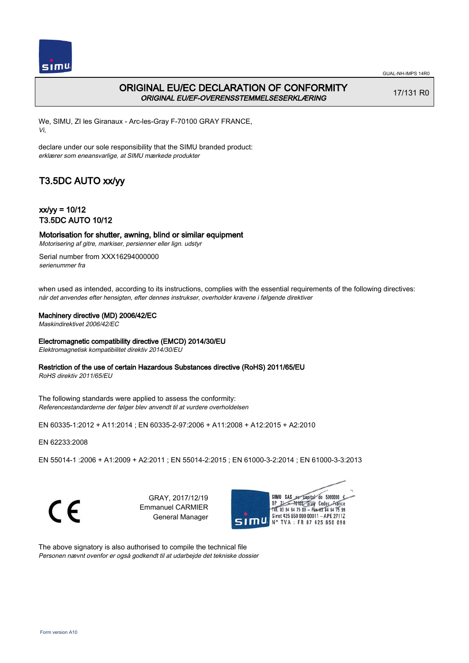

## ORIGINAL EU/EC DECLARATION OF CONFORMITY ORIGINAL EU/EF-OVERENSSTEMMELSESERKLÆRING

17/131 R0

We, SIMU, ZI les Giranaux - Arc-les-Gray F-70100 GRAY FRANCE, Vi,

declare under our sole responsibility that the SIMU branded product: erklærer som eneansvarlige, at SIMU mærkede produkter

# T3.5DC AUTO xx/yy

 $xx/yy = 10/12$ T3.5DC AUTO 10/12

## Motorisation for shutter, awning, blind or similar equipment

Motorisering af gitre, markiser, persienner eller lign. udstyr

Serial number from XXX16294000000 serienummer fra

when used as intended, according to its instructions, complies with the essential requirements of the following directives: når det anvendes efter hensigten, efter dennes instrukser, overholder kravene i følgende direktiver

#### Machinery directive (MD) 2006/42/EC

Maskindirektivet 2006/42/EC

#### Electromagnetic compatibility directive (EMCD) 2014/30/EU

Elektromagnetisk kompatibilitet direktiv 2014/30/EU

### Restriction of the use of certain Hazardous Substances directive (RoHS) 2011/65/EU

RoHS direktiv 2011/65/EU

The following standards were applied to assess the conformity: Referencestandarderne der følger blev anvendt til at vurdere overholdelsen

EN 60335‑1:2012 + A11:2014 ; EN 60335‑2‑97:2006 + A11:2008 + A12:2015 + A2:2010

EN 62233:2008

EN 55014‑1 :2006 + A1:2009 + A2:2011 ; EN 55014‑2:2015 ; EN 61000‑3‑2:2014 ; EN 61000‑3‑3:2013

C E

GRAY, 2017/12/19 Emmanuel CARMIER General Manager



The above signatory is also authorised to compile the technical file Personen nævnt ovenfor er også godkendt til at udarbejde det tekniske dossier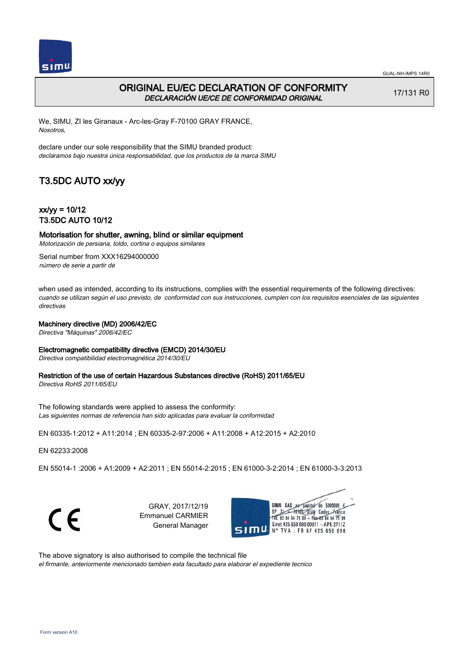

## ORIGINAL EU/EC DECLARATION OF CONFORMITY DECLARACIÓN UE/CE DE CONFORMIDAD ORIGINAL

17/131 R0

We, SIMU, ZI les Giranaux - Arc-les-Gray F-70100 GRAY FRANCE, Nosotros,

declare under our sole responsibility that the SIMU branded product: declaramos bajo nuestra única responsabilidad, que los productos de la marca SIMU

## T3.5DC AUTO xx/yy

 $xx/yy = 10/12$ T3.5DC AUTO 10/12

## Motorisation for shutter, awning, blind or similar equipment

Motorización de persiana, toldo, cortina o equipos similares

Serial number from XXX16294000000 número de serie a partir de

when used as intended, according to its instructions, complies with the essential requirements of the following directives: cuando se utilizan según el uso previsto, de conformidad con sus instrucciones, cumplen con los requisitos esenciales de las siguientes directivas

### Machinery directive (MD) 2006/42/EC

Directiva "Máquinas" 2006/42/EC

#### Electromagnetic compatibility directive (EMCD) 2014/30/EU

Directiva compatibilidad electromagnética 2014/30/EU

### Restriction of the use of certain Hazardous Substances directive (RoHS) 2011/65/EU

Directiva RoHS 2011/65/EU

The following standards were applied to assess the conformity: Las siguientes normas de referencia han sido aplicadas para evaluar la conformidad

EN 60335‑1:2012 + A11:2014 ; EN 60335‑2‑97:2006 + A11:2008 + A12:2015 + A2:2010

EN 62233:2008

EN 55014‑1 :2006 + A1:2009 + A2:2011 ; EN 55014‑2:2015 ; EN 61000‑3‑2:2014 ; EN 61000‑3‑3:2013

C E

GRAY, 2017/12/19 Emmanuel CARMIER General Manager



The above signatory is also authorised to compile the technical file el firmante, anteriormente mencionado tambien esta facultado para elaborar el expediente tecnico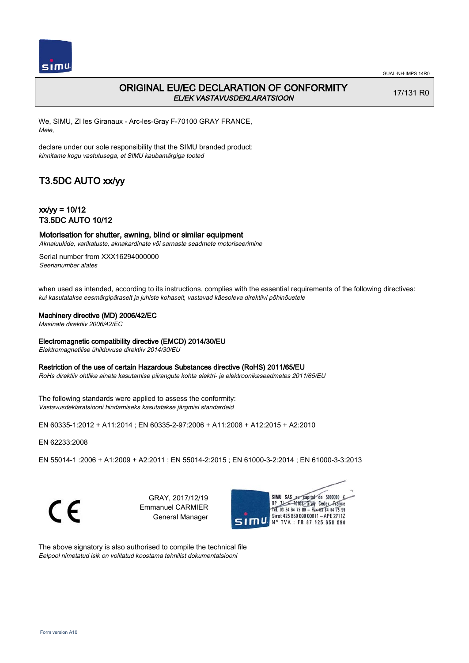

## ORIGINAL EU/EC DECLARATION OF CONFORMITY EL/EK VASTAVUSDEKLARATSIOON

17/131 R0

We, SIMU, ZI les Giranaux - Arc-les-Gray F-70100 GRAY FRANCE, Meie,

declare under our sole responsibility that the SIMU branded product: kinnitame kogu vastutusega, et SIMU kaubamärgiga tooted

# T3.5DC AUTO xx/yy

 $xx/yy = 10/12$ T3.5DC AUTO 10/12

## Motorisation for shutter, awning, blind or similar equipment

Aknaluukide, varikatuste, aknakardinate või sarnaste seadmete motoriseerimine

Serial number from XXX16294000000 Seerianumber alates

when used as intended, according to its instructions, complies with the essential requirements of the following directives: kui kasutatakse eesmärgipäraselt ja juhiste kohaselt, vastavad käesoleva direktiivi põhinõuetele

#### Machinery directive (MD) 2006/42/EC

Masinate direktiiv 2006/42/EC

#### Electromagnetic compatibility directive (EMCD) 2014/30/EU

Elektromagnetilise ühilduvuse direktiiv 2014/30/EU

#### Restriction of the use of certain Hazardous Substances directive (RoHS) 2011/65/EU

RoHs direktiiv ohtlike ainete kasutamise piirangute kohta elektri- ja elektroonikaseadmetes 2011/65/EU

The following standards were applied to assess the conformity: Vastavusdeklaratsiooni hindamiseks kasutatakse järgmisi standardeid

EN 60335‑1:2012 + A11:2014 ; EN 60335‑2‑97:2006 + A11:2008 + A12:2015 + A2:2010

EN 62233:2008

EN 55014‑1 :2006 + A1:2009 + A2:2011 ; EN 55014‑2:2015 ; EN 61000‑3‑2:2014 ; EN 61000‑3‑3:2013

C E

GRAY, 2017/12/19 Emmanuel CARMIER General Manager



The above signatory is also authorised to compile the technical file Eelpool nimetatud isik on volitatud koostama tehnilist dokumentatsiooni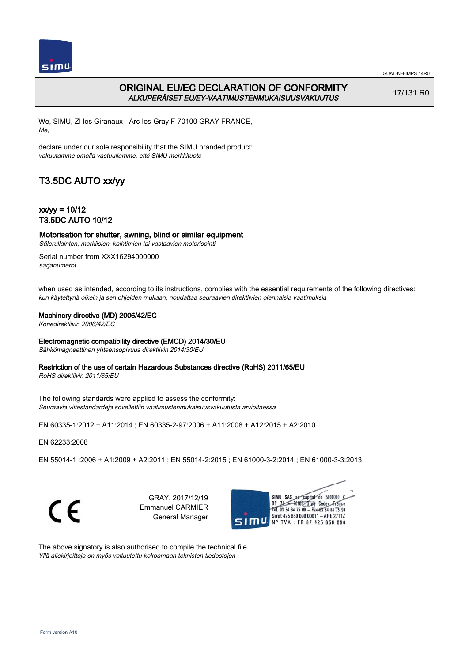

## ORIGINAL EU/EC DECLARATION OF CONFORMITY ALKUPERÄISET EU/EY-VAATIMUSTENMUKAISUUSVAKUUTUS

17/131 R0

We, SIMU, ZI les Giranaux - Arc-les-Gray F-70100 GRAY FRANCE, Me,

declare under our sole responsibility that the SIMU branded product: vakuutamme omalla vastuullamme, että SIMU merkkituote

# T3.5DC AUTO xx/yy

 $xx/yy = 10/12$ T3.5DC AUTO 10/12

Motorisation for shutter, awning, blind or similar equipment

Sälerullainten, markiisien, kaihtimien tai vastaavien motorisointi

Serial number from XXX16294000000 sarjanumerot

when used as intended, according to its instructions, complies with the essential requirements of the following directives: kun käytettynä oikein ja sen ohjeiden mukaan, noudattaa seuraavien direktiivien olennaisia vaatimuksia

#### Machinery directive (MD) 2006/42/EC

Konedirektiivin 2006/42/EC

#### Electromagnetic compatibility directive (EMCD) 2014/30/EU

Sähkömagneettinen yhteensopivuus direktiivin 2014/30/EU

#### Restriction of the use of certain Hazardous Substances directive (RoHS) 2011/65/EU

RoHS direktiivin 2011/65/EU

The following standards were applied to assess the conformity: Seuraavia viitestandardeja sovellettiin vaatimustenmukaisuusvakuutusta arvioitaessa

EN 60335‑1:2012 + A11:2014 ; EN 60335‑2‑97:2006 + A11:2008 + A12:2015 + A2:2010

EN 62233:2008

EN 55014‑1 :2006 + A1:2009 + A2:2011 ; EN 55014‑2:2015 ; EN 61000‑3‑2:2014 ; EN 61000‑3‑3:2013

C E

GRAY, 2017/12/19 Emmanuel CARMIER General Manager



The above signatory is also authorised to compile the technical file Yllä allekirjoittaja on myös valtuutettu kokoamaan teknisten tiedostojen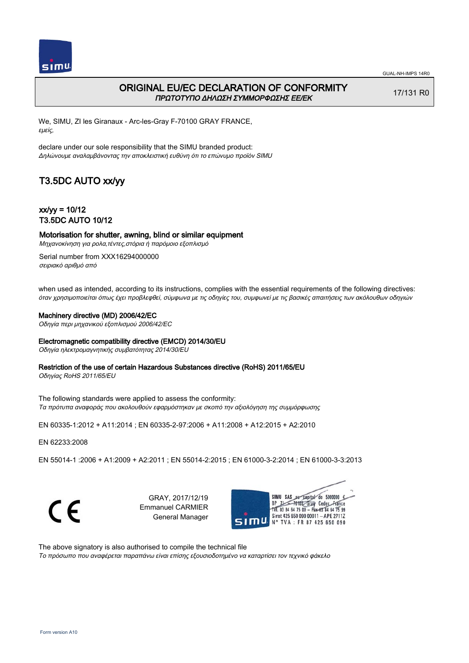

### ORIGINAL EU/EC DECLARATION OF CONFORMITY ΠΡΩΤΟΤΥΠΟ ΔΗΛΩΣΗ ΣΥΜΜΟΡΦΩΣΗΣ ΕΕ/EK

17/131 R0

We, SIMU, ZI les Giranaux - Arc-les-Gray F-70100 GRAY FRANCE, εμείς,

declare under our sole responsibility that the SIMU branded product: Δηλώνουμε αναλαμβάνοντας την αποκλειστική ευθύνη ότι το επώνυμο προϊόν SIMU

## T3.5DC AUTO xx/yy

 $xx/w = 10/12$ T3.5DC AUTO 10/12

Motorisation for shutter, awning, blind or similar equipment

Μηχανοκίνηση για ρολα,τέντες,στόρια ή παρόμοιο εξοπλισμό

Serial number from XXX16294000000 σειριακό αριθμό από

when used as intended, according to its instructions, complies with the essential requirements of the following directives: όταν χρησιμοποιείται όπως έχει προβλεφθεί, σύμφωνα με τις οδηγίες του, συμφωνεί με τις βασικές απαιτήσεις των ακόλουθων οδηγιών

#### Machinery directive (MD) 2006/42/EC

Οδηγία περι μηχανικού εξοπλισμού 2006/42/EC

#### Electromagnetic compatibility directive (EMCD) 2014/30/EU

Οδηγία ηλεκτρομαγνητικής συμβατότητας 2014/30/EU

#### Restriction of the use of certain Hazardous Substances directive (RoHS) 2011/65/EU

Οδηγίας RoHS 2011/65/EU

The following standards were applied to assess the conformity: Τα πρότυπα αναφοράς που ακολουθούν εφαρμόστηκαν με σκοπό την αξιολόγηση της συμμόρφωσης

EN 60335‑1:2012 + A11:2014 ; EN 60335‑2‑97:2006 + A11:2008 + A12:2015 + A2:2010

EN 62233:2008

EN 55014‑1 :2006 + A1:2009 + A2:2011 ; EN 55014‑2:2015 ; EN 61000‑3‑2:2014 ; EN 61000‑3‑3:2013

C F

GRAY, 2017/12/19 Emmanuel CARMIER General Manager



The above signatory is also authorised to compile the technical file Το πρόσωπο που αναφέρεται παραπάνω είναι επίσης εξουσιοδοτημένο να καταρτίσει τον τεχνικό φάκελο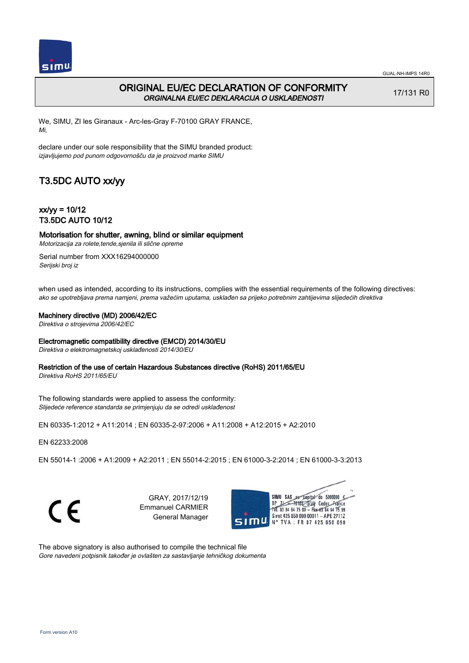

## ORIGINAL EU/EC DECLARATION OF CONFORMITY ORGINALNA EU/EC DEKLARACIJA O USKLAĐENOSTI

17/131 R0

We, SIMU, ZI les Giranaux - Arc-les-Gray F-70100 GRAY FRANCE, Mi,

declare under our sole responsibility that the SIMU branded product: izjavljujemo pod punom odgovornošču da je proizvod marke SIMU

# T3.5DC AUTO xx/yy

 $xx/yy = 10/12$ T3.5DC AUTO 10/12

### Motorisation for shutter, awning, blind or similar equipment

Motorizacija za rolete,tende,sjenila ili slične opreme

Serial number from XXX16294000000 Serijski broj iz

when used as intended, according to its instructions, complies with the essential requirements of the following directives: ako se upotrebljava prema namjeni, prema važećim uputama, usklađen sa prijeko potrebnim zahtijevima slijedećih direktiva

#### Machinery directive (MD) 2006/42/EC

Direktiva o strojevima 2006/42/EC

#### Electromagnetic compatibility directive (EMCD) 2014/30/EU

Direktiva o elektromagnetskoj usklađenosti 2014/30/EU

#### Restriction of the use of certain Hazardous Substances directive (RoHS) 2011/65/EU

Direktiva RoHS 2011/65/EU

The following standards were applied to assess the conformity: Slijedeće reference standarda se primjenjuju da se odredi usklađenost

EN 60335‑1:2012 + A11:2014 ; EN 60335‑2‑97:2006 + A11:2008 + A12:2015 + A2:2010

EN 62233:2008

EN 55014‑1 :2006 + A1:2009 + A2:2011 ; EN 55014‑2:2015 ; EN 61000‑3‑2:2014 ; EN 61000‑3‑3:2013

C E

GRAY, 2017/12/19 Emmanuel CARMIER General Manager



The above signatory is also authorised to compile the technical file Gore navedeni potpisnik također je ovlašten za sastavljanje tehničkog dokumenta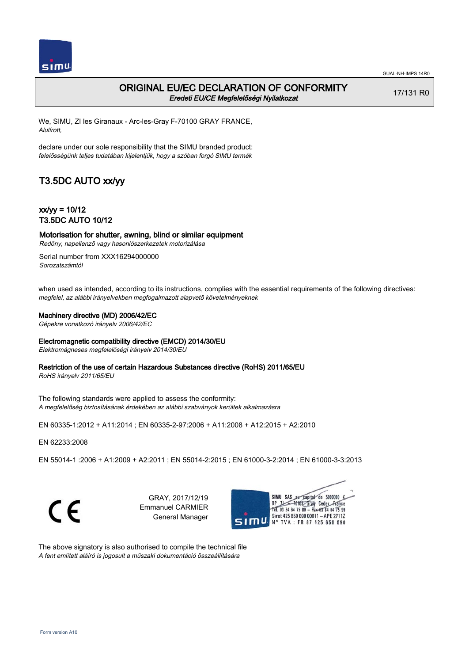

### ORIGINAL EU/EC DECLARATION OF CONFORMITY Eredeti EU/CE Megfelelőségi Nyilatkozat

17/131 R0

We, SIMU, ZI les Giranaux - Arc-les-Gray F-70100 GRAY FRANCE, Alulírott,

declare under our sole responsibility that the SIMU branded product: felelősségünk teljes tudatában kijelentjük, hogy a szóban forgó SIMU termék

## T3.5DC AUTO xx/yy

 $xx/yy = 10/12$ T3.5DC AUTO 10/12

Motorisation for shutter, awning, blind or similar equipment Redőny, napellenző vagy hasonlószerkezetek motorizálása

Serial number from XXX16294000000 Sorozatszámtól

when used as intended, according to its instructions, complies with the essential requirements of the following directives: megfelel, az alábbi irányelvekben megfogalmazott alapvető követelményeknek

#### Machinery directive (MD) 2006/42/EC

Gépekre vonatkozó irányelv 2006/42/EC

#### Electromagnetic compatibility directive (EMCD) 2014/30/EU

Elektromágneses megfelelőségi irányelv 2014/30/EU

#### Restriction of the use of certain Hazardous Substances directive (RoHS) 2011/65/EU

RoHS irányelv 2011/65/EU

The following standards were applied to assess the conformity: A megfelelőség biztosításának érdekében az alábbi szabványok kerültek alkalmazásra

EN 60335‑1:2012 + A11:2014 ; EN 60335‑2‑97:2006 + A11:2008 + A12:2015 + A2:2010

EN 62233:2008

EN 55014‑1 :2006 + A1:2009 + A2:2011 ; EN 55014‑2:2015 ; EN 61000‑3‑2:2014 ; EN 61000‑3‑3:2013



GRAY, 2017/12/19 Emmanuel CARMIER General Manager



The above signatory is also authorised to compile the technical file A fent említett aláíró is jogosult a műszaki dokumentáció összeállítására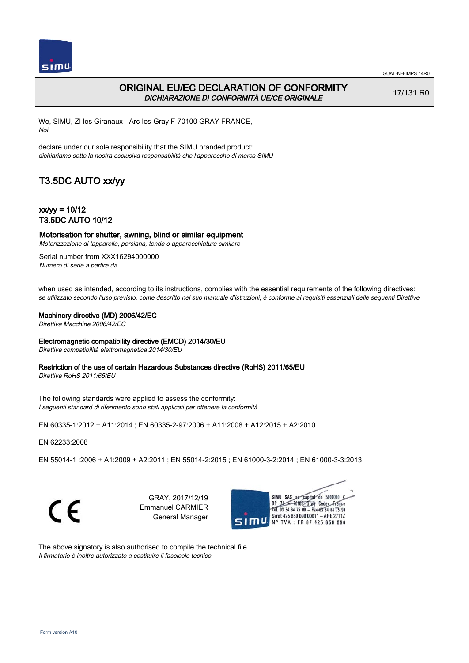

### ORIGINAL EU/EC DECLARATION OF CONFORMITY DICHIARAZIONE DI CONFORMITÀ UE/CE ORIGINALE

17/131 R0

We, SIMU, ZI les Giranaux - Arc-les-Gray F-70100 GRAY FRANCE, Noi,

declare under our sole responsibility that the SIMU branded product: dichiariamo sotto la nostra esclusiva responsabilità che l'appareccho di marca SIMU

## T3.5DC AUTO xx/yy

 $xx/yy = 10/12$ T3.5DC AUTO 10/12

Motorisation for shutter, awning, blind or similar equipment Motorizzazione di tapparella, persiana, tenda o apparecchiatura similare

Serial number from XXX16294000000 Numero di serie a partire da

when used as intended, according to its instructions, complies with the essential requirements of the following directives: se utilizzato secondo l'uso previsto, come descritto nel suo manuale d'istruzioni, è conforme ai requisiti essenziali delle seguenti Direttive

#### Machinery directive (MD) 2006/42/EC

Direttiva Macchine 2006/42/EC

#### Electromagnetic compatibility directive (EMCD) 2014/30/EU

Direttiva compatibilità elettromagnetica 2014/30/EU

#### Restriction of the use of certain Hazardous Substances directive (RoHS) 2011/65/EU

Direttiva RoHS 2011/65/EU

The following standards were applied to assess the conformity: I seguenti standard di riferimento sono stati applicati per ottenere la conformità

EN 60335‑1:2012 + A11:2014 ; EN 60335‑2‑97:2006 + A11:2008 + A12:2015 + A2:2010

EN 62233:2008

EN 55014‑1 :2006 + A1:2009 + A2:2011 ; EN 55014‑2:2015 ; EN 61000‑3‑2:2014 ; EN 61000‑3‑3:2013



GRAY, 2017/12/19 Emmanuel CARMIER General Manager



The above signatory is also authorised to compile the technical file Il firmatario è inoltre autorizzato a costituire il fascicolo tecnico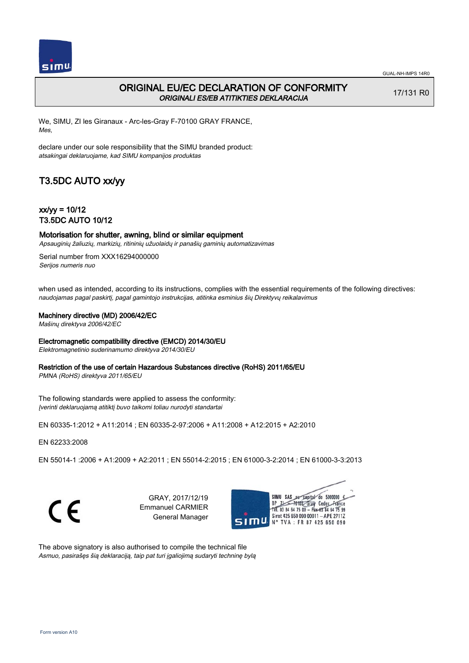

17/131 R0

## ORIGINAL EU/EC DECLARATION OF CONFORMITY ORIGINALI ES/EB ATITIKTIES DEKLARACIJA

We, SIMU, ZI les Giranaux - Arc-les-Gray F-70100 GRAY FRANCE, Mes,

declare under our sole responsibility that the SIMU branded product: atsakingai deklaruojame, kad SIMU kompanijos produktas

# T3.5DC AUTO xx/yy

 $xx/yy = 10/12$ T3.5DC AUTO 10/12

# Motorisation for shutter, awning, blind or similar equipment

Apsauginių žaliuzių, markizių, ritininių užuolaidų ir panašių gaminių automatizavimas

Serial number from XXX16294000000 Serijos numeris nuo

when used as intended, according to its instructions, complies with the essential requirements of the following directives: naudojamas pagal paskirtį, pagal gamintojo instrukcijas, atitinka esminius šių Direktyvų reikalavimus

#### Machinery directive (MD) 2006/42/EC

Mašinų direktyva 2006/42/EC

#### Electromagnetic compatibility directive (EMCD) 2014/30/EU

Elektromagnetinio suderinamumo direktyva 2014/30/EU

#### Restriction of the use of certain Hazardous Substances directive (RoHS) 2011/65/EU

PMNA (RoHS) direktyva 2011/65/EU

The following standards were applied to assess the conformity: Įverinti deklaruojamą atitiktį buvo taikomi toliau nurodyti standartai

EN 60335‑1:2012 + A11:2014 ; EN 60335‑2‑97:2006 + A11:2008 + A12:2015 + A2:2010

EN 62233:2008

EN 55014‑1 :2006 + A1:2009 + A2:2011 ; EN 55014‑2:2015 ; EN 61000‑3‑2:2014 ; EN 61000‑3‑3:2013

C E

GRAY, 2017/12/19 Emmanuel CARMIER General Manager



The above signatory is also authorised to compile the technical file Asmuo, pasirašęs šią deklaraciją, taip pat turi įgaliojimą sudaryti techninę bylą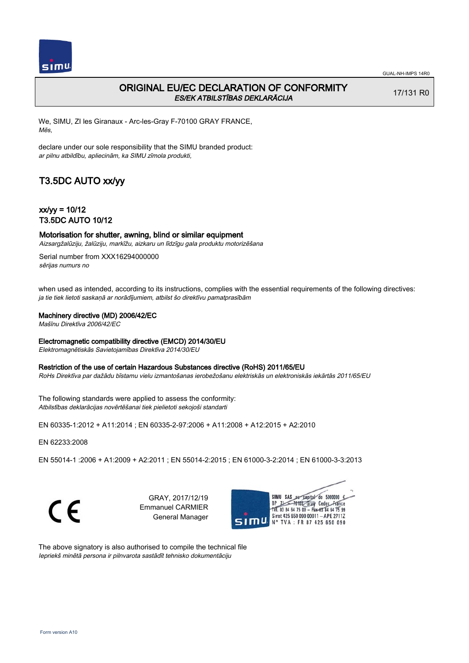

17/131 R0

## ORIGINAL EU/EC DECLARATION OF CONFORMITY ES/EK ATBILSTĪBAS DEKLARĀCIJA

We, SIMU, ZI les Giranaux - Arc-les-Gray F-70100 GRAY FRANCE, Mēs,

declare under our sole responsibility that the SIMU branded product: ar pilnu atbildību, apliecinām, ka SIMU zīmola produkti,

# T3.5DC AUTO xx/yy

 $xx/yy = 10/12$ T3.5DC AUTO 10/12

# Motorisation for shutter, awning, blind or similar equipment

Aizsargžalūziju, žalūziju, markīžu, aizkaru un līdzīgu gala produktu motorizēšana

Serial number from XXX16294000000 sērijas numurs no

when used as intended, according to its instructions, complies with the essential requirements of the following directives: ja tie tiek lietoti saskaņā ar norādījumiem, atbilst šo direktīvu pamatprasībām

#### Machinery directive (MD) 2006/42/EC

Mašīnu Direktīva 2006/42/EC

#### Electromagnetic compatibility directive (EMCD) 2014/30/EU

Elektromagnētiskās Savietojamības Direktīva 2014/30/EU

#### Restriction of the use of certain Hazardous Substances directive (RoHS) 2011/65/EU

RoHs Direktīva par dažādu bīstamu vielu izmantošanas ierobežošanu elektriskās un elektroniskās iekārtās 2011/65/EU

The following standards were applied to assess the conformity: Atbilstības deklarācijas novērtēšanai tiek pielietoti sekojoši standarti

EN 60335‑1:2012 + A11:2014 ; EN 60335‑2‑97:2006 + A11:2008 + A12:2015 + A2:2010

EN 62233:2008

EN 55014‑1 :2006 + A1:2009 + A2:2011 ; EN 55014‑2:2015 ; EN 61000‑3‑2:2014 ; EN 61000‑3‑3:2013

C E

GRAY, 2017/12/19 Emmanuel CARMIER General Manager



The above signatory is also authorised to compile the technical file Iepriekš minētā persona ir pilnvarota sastādīt tehnisko dokumentāciju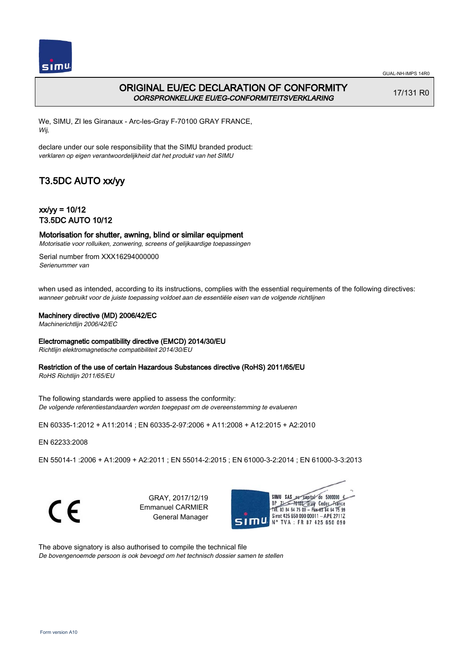

## ORIGINAL EU/EC DECLARATION OF CONFORMITY OORSPRONKELIJKE EU/EG-CONFORMITEITSVERKLARING

17/131 R0

We, SIMU, ZI les Giranaux - Arc-les-Gray F-70100 GRAY FRANCE, Wij,

declare under our sole responsibility that the SIMU branded product: verklaren op eigen verantwoordelijkheid dat het produkt van het SIMU

# T3.5DC AUTO xx/yy

 $xx/w = 10/12$ T3.5DC AUTO 10/12

Motorisation for shutter, awning, blind or similar equipment Motorisatie voor rolluiken, zonwering, screens of gelijkaardige toepassingen

Serial number from XXX16294000000 Serienummer van

when used as intended, according to its instructions, complies with the essential requirements of the following directives: wanneer gebruikt voor de juiste toepassing voldoet aan de essentiële eisen van de volgende richtlijnen

#### Machinery directive (MD) 2006/42/EC

Machinerichtlijn 2006/42/EC

#### Electromagnetic compatibility directive (EMCD) 2014/30/EU

Richtlijn elektromagnetische compatibiliteit 2014/30/EU

#### Restriction of the use of certain Hazardous Substances directive (RoHS) 2011/65/EU

RoHS Richtlijn 2011/65/EU

The following standards were applied to assess the conformity: De volgende referentiestandaarden worden toegepast om de overeenstemming te evalueren

EN 60335‑1:2012 + A11:2014 ; EN 60335‑2‑97:2006 + A11:2008 + A12:2015 + A2:2010

EN 62233:2008

EN 55014‑1 :2006 + A1:2009 + A2:2011 ; EN 55014‑2:2015 ; EN 61000‑3‑2:2014 ; EN 61000‑3‑3:2013

C E

GRAY, 2017/12/19 Emmanuel CARMIER General Manager



The above signatory is also authorised to compile the technical file De bovengenoemde persoon is ook bevoegd om het technisch dossier samen te stellen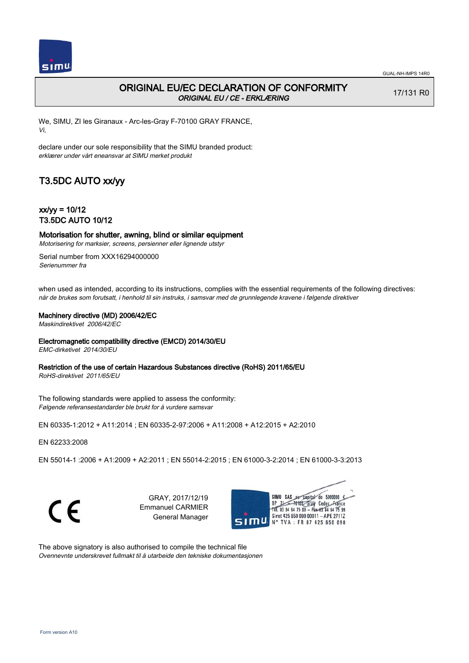

## ORIGINAL EU/EC DECLARATION OF CONFORMITY ORIGINAL EU / CE - ERKLÆRING

17/131 R0

We, SIMU, ZI les Giranaux - Arc-les-Gray F-70100 GRAY FRANCE, Vi,

declare under our sole responsibility that the SIMU branded product: erklærer under vårt eneansvar at SIMU merket produkt

# T3.5DC AUTO xx/yy

 $xx/yy = 10/12$ T3.5DC AUTO 10/12

Motorisation for shutter, awning, blind or similar equipment Motorisering for marksier, screens, persienner eller lignende utstyr

Serial number from XXX16294000000 Serienummer fra

when used as intended, according to its instructions, complies with the essential requirements of the following directives: når de brukes som forutsatt, i henhold til sin instruks, i samsvar med de grunnlegende kravene i følgende direktiver

#### Machinery directive (MD) 2006/42/EC

Maskindirektivet 2006/42/EC

#### Electromagnetic compatibility directive (EMCD) 2014/30/EU

EMC-dirketivet 2014/30/EU

### Restriction of the use of certain Hazardous Substances directive (RoHS) 2011/65/EU

RoHS-direktivet 2011/65/EU

The following standards were applied to assess the conformity: Følgende referansestandarder ble brukt for å vurdere samsvar

EN 60335‑1:2012 + A11:2014 ; EN 60335‑2‑97:2006 + A11:2008 + A12:2015 + A2:2010

EN 62233:2008

EN 55014‑1 :2006 + A1:2009 + A2:2011 ; EN 55014‑2:2015 ; EN 61000‑3‑2:2014 ; EN 61000‑3‑3:2013

C E

GRAY, 2017/12/19 Emmanuel CARMIER General Manager



The above signatory is also authorised to compile the technical file Ovennevnte underskrevet fullmakt til å utarbeide den tekniske dokumentasjonen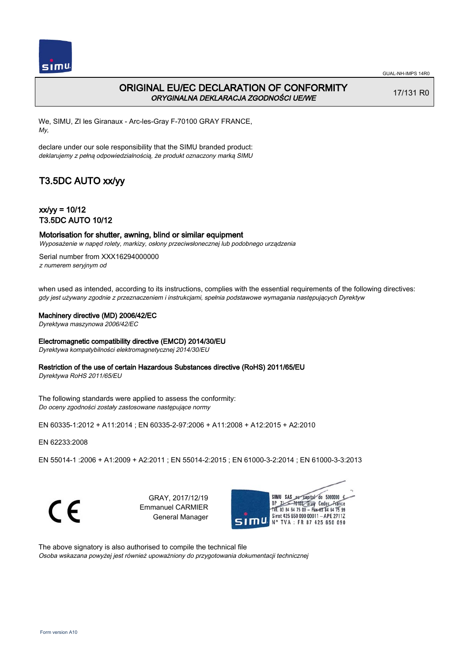

### ORIGINAL EU/EC DECLARATION OF CONFORMITY ORYGINALNA DEKLARACJA ZGODNOŚCI UE/WE

17/131 R0

We, SIMU, ZI les Giranaux - Arc-les-Gray F-70100 GRAY FRANCE, My,

declare under our sole responsibility that the SIMU branded product: deklarujemy z pełną odpowiedzialnością, że produkt oznaczony marką SIMU

## T3.5DC AUTO xx/yy

 $xx/yy = 10/12$ T3.5DC AUTO 10/12

#### Motorisation for shutter, awning, blind or similar equipment Wyposażenie w napęd rolety, markizy, osłony przeciwsłonecznej lub podobnego urządzenia

Serial number from XXX16294000000 z numerem seryjnym od

when used as intended, according to its instructions, complies with the essential requirements of the following directives: gdy jest używany zgodnie z przeznaczeniem i instrukcjami, spełnia podstawowe wymagania następujących Dyrektyw

#### Machinery directive (MD) 2006/42/EC

Dyrektywa maszynowa 2006/42/EC

#### Electromagnetic compatibility directive (EMCD) 2014/30/EU

Dyrektywa kompatybilności elektromagnetycznej 2014/30/EU

#### Restriction of the use of certain Hazardous Substances directive (RoHS) 2011/65/EU

Dyrektywa RoHS 2011/65/EU

The following standards were applied to assess the conformity: Do oceny zgodności zostały zastosowane następujące normy

EN 60335‑1:2012 + A11:2014 ; EN 60335‑2‑97:2006 + A11:2008 + A12:2015 + A2:2010

EN 62233:2008

EN 55014‑1 :2006 + A1:2009 + A2:2011 ; EN 55014‑2:2015 ; EN 61000‑3‑2:2014 ; EN 61000‑3‑3:2013



GRAY, 2017/12/19 Emmanuel CARMIER General Manager



The above signatory is also authorised to compile the technical file Osoba wskazana powyżej jest również upoważniony do przygotowania dokumentacji technicznej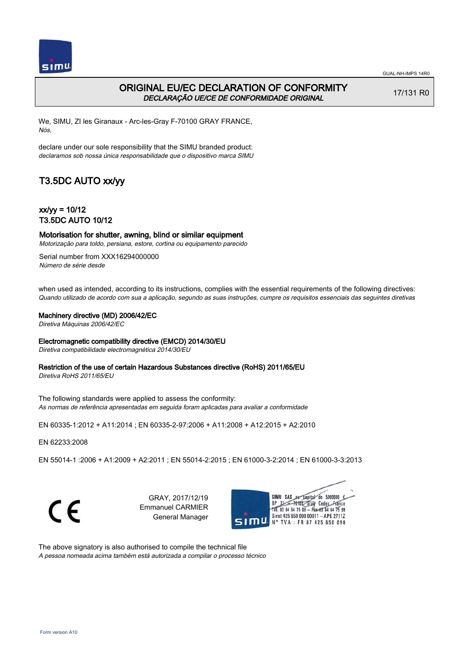

### ORIGINAL EU/EC DECLARATION OF CONFORMITY DECLARAÇÃO UE/CE DE CONFORMIDADE ORIGINAL

17/131 R0

We, SIMU, ZI les Giranaux - Arc-les-Gray F-70100 GRAY FRANCE, Nós,

declare under our sole responsibility that the SIMU branded product: declaramos sob nossa única responsabilidade que o dispositivo marca SIMU

## T3.5DC AUTO xx/yy

 $xx/yy = 10/12$ T3.5DC AUTO 10/12

Motorisation for shutter, awning, blind or similar equipment

Motorização para toldo, persiana, estore, cortina ou equipamento parecido

Serial number from XXX16294000000 Número de série desde

when used as intended, according to its instructions, complies with the essential requirements of the following directives: Quando utilizado de acordo com sua a aplicação, segundo as suas instruções, cumpre os requisitos essenciais das seguintes diretivas

#### Machinery directive (MD) 2006/42/EC

Diretiva Máquinas 2006/42/EC

#### Electromagnetic compatibility directive (EMCD) 2014/30/EU

Diretiva compatibilidade electromagnética 2014/30/EU

#### Restriction of the use of certain Hazardous Substances directive (RoHS) 2011/65/EU

Diretiva RoHS 2011/65/EU

The following standards were applied to assess the conformity: As normas de referência apresentadas em seguida foram aplicadas para avaliar a conformidade

EN 60335‑1:2012 + A11:2014 ; EN 60335‑2‑97:2006 + A11:2008 + A12:2015 + A2:2010

EN 62233:2008

EN 55014‑1 :2006 + A1:2009 + A2:2011 ; EN 55014‑2:2015 ; EN 61000‑3‑2:2014 ; EN 61000‑3‑3:2013



GRAY, 2017/12/19 Emmanuel CARMIER General Manager



The above signatory is also authorised to compile the technical file A pessoa nomeada acima também está autorizada a compilar o processo técnico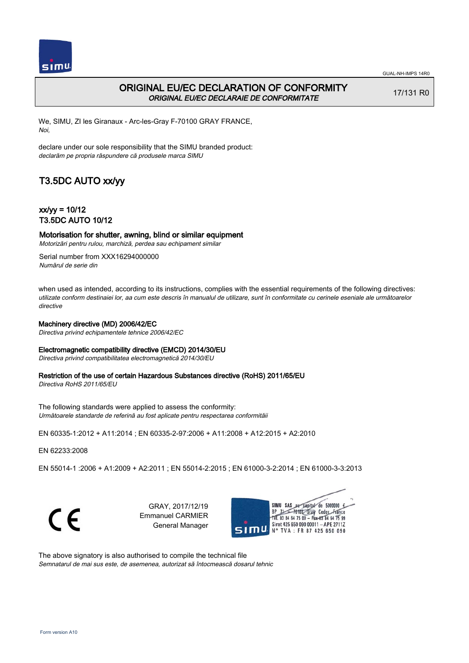

## ORIGINAL EU/EC DECLARATION OF CONFORMITY ORIGINAL EU/EC DECLARAIE DE CONFORMITATE

17/131 R0

We, SIMU, ZI les Giranaux - Arc-les-Gray F-70100 GRAY FRANCE, Noi,

declare under our sole responsibility that the SIMU branded product: declarăm pe propria răspundere că produsele marca SIMU

## T3.5DC AUTO xx/yy

 $xx/w = 10/12$ T3.5DC AUTO 10/12

### Motorisation for shutter, awning, blind or similar equipment

Motorizări pentru rulou, marchiză, perdea sau echipament similar

Serial number from XXX16294000000 Numărul de serie din

when used as intended, according to its instructions, complies with the essential requirements of the following directives: utilizate conform destinaiei lor, aa cum este descris în manualul de utilizare, sunt în conformitate cu cerinele eseniale ale următoarelor directive

#### Machinery directive (MD) 2006/42/EC

Directiva privind echipamentele tehnice 2006/42/EC

#### Electromagnetic compatibility directive (EMCD) 2014/30/EU

Directiva privind compatibilitatea electromagnetică 2014/30/EU

### Restriction of the use of certain Hazardous Substances directive (RoHS) 2011/65/EU

Directiva RoHS 2011/65/EU

The following standards were applied to assess the conformity: Următoarele standarde de referină au fost aplicate pentru respectarea conformităii

EN 60335‑1:2012 + A11:2014 ; EN 60335‑2‑97:2006 + A11:2008 + A12:2015 + A2:2010

EN 62233:2008

EN 55014‑1 :2006 + A1:2009 + A2:2011 ; EN 55014‑2:2015 ; EN 61000‑3‑2:2014 ; EN 61000‑3‑3:2013

C E

GRAY, 2017/12/19 Emmanuel CARMIER General Manager



The above signatory is also authorised to compile the technical file Semnatarul de mai sus este, de asemenea, autorizat să întocmească dosarul tehnic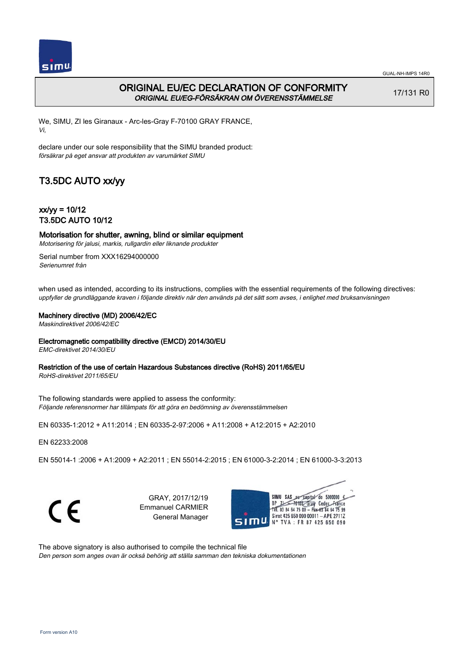

## ORIGINAL EU/EC DECLARATION OF CONFORMITY ORIGINAL EU/EG-FÖRSÄKRAN OM ÖVERENSSTÄMMELSE

17/131 R0

We, SIMU, ZI les Giranaux - Arc-les-Gray F-70100 GRAY FRANCE, Vi,

declare under our sole responsibility that the SIMU branded product: försäkrar på eget ansvar att produkten av varumärket SIMU

# T3.5DC AUTO xx/yy

 $xx/yy = 10/12$ T3.5DC AUTO 10/12

Motorisation for shutter, awning, blind or similar equipment Motorisering för jalusi, markis, rullgardin eller liknande produkter

Serial number from XXX16294000000 Serienumret från

when used as intended, according to its instructions, complies with the essential requirements of the following directives: uppfyller de grundläggande kraven i följande direktiv när den används på det sätt som avses, i enlighet med bruksanvisningen

#### Machinery directive (MD) 2006/42/EC

Maskindirektivet 2006/42/EC

#### Electromagnetic compatibility directive (EMCD) 2014/30/EU

EMC-direktivet 2014/30/EU

### Restriction of the use of certain Hazardous Substances directive (RoHS) 2011/65/EU

RoHS-direktivet 2011/65/EU

The following standards were applied to assess the conformity: Följande referensnormer har tillämpats för att göra en bedömning av överensstämmelsen

EN 60335‑1:2012 + A11:2014 ; EN 60335‑2‑97:2006 + A11:2008 + A12:2015 + A2:2010

EN 62233:2008

EN 55014‑1 :2006 + A1:2009 + A2:2011 ; EN 55014‑2:2015 ; EN 61000‑3‑2:2014 ; EN 61000‑3‑3:2013

C E

GRAY, 2017/12/19 Emmanuel CARMIER General Manager



The above signatory is also authorised to compile the technical file Den person som anges ovan är också behörig att ställa samman den tekniska dokumentationen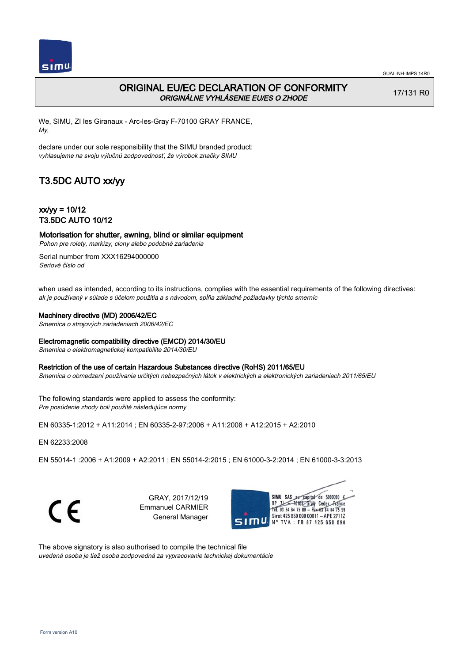

## ORIGINAL EU/EC DECLARATION OF CONFORMITY ORIGINÁLNE VYHLÁSENIE EU/ES O ZHODE

17/131 R0

We, SIMU, ZI les Giranaux - Arc-les-Gray F-70100 GRAY FRANCE, My,

declare under our sole responsibility that the SIMU branded product: vyhlasujeme na svoju výlučnú zodpovednosť, že výrobok značky SIMU

# T3.5DC AUTO xx/yy

 $xx/yy = 10/12$ T3.5DC AUTO 10/12

Motorisation for shutter, awning, blind or similar equipment

Pohon pre rolety, markízy, clony alebo podobné zariadenia

Serial number from XXX16294000000 Seriové číslo od

when used as intended, according to its instructions, complies with the essential requirements of the following directives: ak je používaný v súlade s účelom použitia a s návodom, spĺňa základné požiadavky týchto smerníc

#### Machinery directive (MD) 2006/42/EC

Smernica o strojových zariadeniach 2006/42/EC

#### Electromagnetic compatibility directive (EMCD) 2014/30/EU

Smernica o elektromagnetickej kompatibilite 2014/30/EU

#### Restriction of the use of certain Hazardous Substances directive (RoHS) 2011/65/EU

Smernica o obmedzení používania určitých nebezpečných látok v elektrických a elektronických zariadeniach 2011/65/EU

The following standards were applied to assess the conformity: Pre posúdenie zhody boli použité následujúce normy

EN 60335‑1:2012 + A11:2014 ; EN 60335‑2‑97:2006 + A11:2008 + A12:2015 + A2:2010

EN 62233:2008

EN 55014‑1 :2006 + A1:2009 + A2:2011 ; EN 55014‑2:2015 ; EN 61000‑3‑2:2014 ; EN 61000‑3‑3:2013

C E

GRAY, 2017/12/19 Emmanuel CARMIER General Manager



The above signatory is also authorised to compile the technical file uvedená osoba je tiež osoba zodpovedná za vypracovanie technickej dokumentácie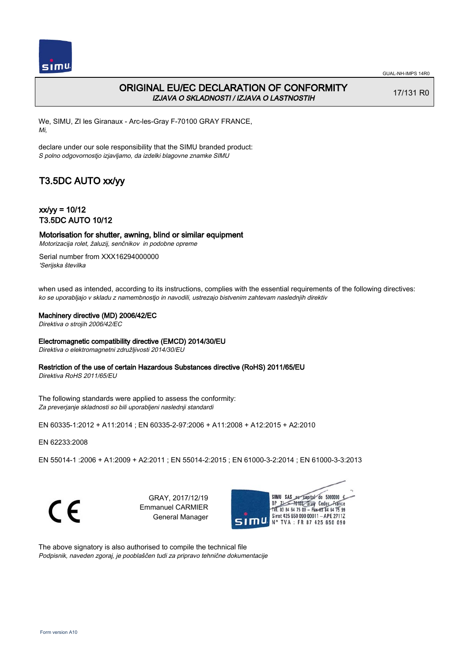

## ORIGINAL EU/EC DECLARATION OF CONFORMITY IZJAVA O SKLADNOSTI / IZJAVA O LASTNOSTIH

17/131 R0

We, SIMU, ZI les Giranaux - Arc-les-Gray F-70100 GRAY FRANCE, Mi,

declare under our sole responsibility that the SIMU branded product: S polno odgovornostjo izjavljamo, da izdelki blagovne znamke SIMU

# T3.5DC AUTO xx/yy

 $xx/yy = 10/12$ T3.5DC AUTO 10/12

## Motorisation for shutter, awning, blind or similar equipment

Motorizacija rolet, žaluzij, senčnikov in podobne opreme

Serial number from XXX16294000000 'Serijska številka

when used as intended, according to its instructions, complies with the essential requirements of the following directives: ko se uporabljajo v skladu z namembnostjo in navodili, ustrezajo bistvenim zahtevam naslednjih direktiv

#### Machinery directive (MD) 2006/42/EC

Direktiva o strojih 2006/42/EC

#### Electromagnetic compatibility directive (EMCD) 2014/30/EU

Direktiva o elektromagnetni združljivosti 2014/30/EU

#### Restriction of the use of certain Hazardous Substances directive (RoHS) 2011/65/EU

Direktiva RoHS 2011/65/EU

The following standards were applied to assess the conformity: Za preverjanje skladnosti so bili uporabljeni naslednji standardi

EN 60335‑1:2012 + A11:2014 ; EN 60335‑2‑97:2006 + A11:2008 + A12:2015 + A2:2010

EN 62233:2008

EN 55014‑1 :2006 + A1:2009 + A2:2011 ; EN 55014‑2:2015 ; EN 61000‑3‑2:2014 ; EN 61000‑3‑3:2013

C E

GRAY, 2017/12/19 Emmanuel CARMIER General Manager



The above signatory is also authorised to compile the technical file Podpisnik, naveden zgoraj, je pooblaščen tudi za pripravo tehnične dokumentacije